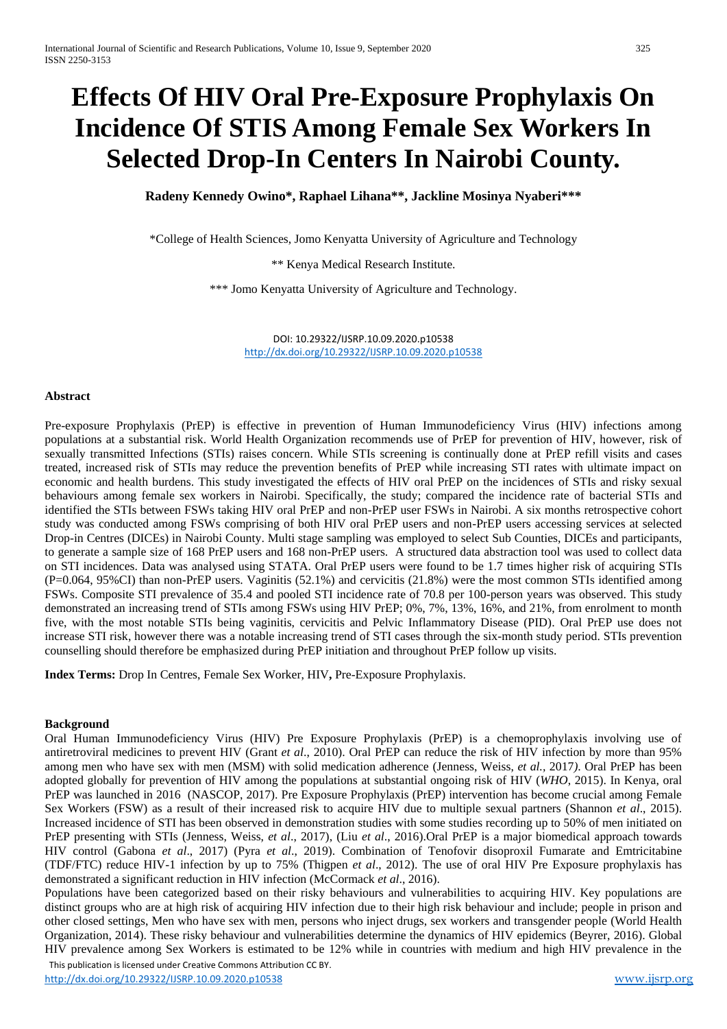# **Effects Of HIV Oral Pre-Exposure Prophylaxis On Incidence Of STIS Among Female Sex Workers In Selected Drop-In Centers In Nairobi County.**

**Radeny Kennedy Owino\*, Raphael Lihana\*\*, Jackline Mosinya Nyaberi\*\*\***

\*College of Health Sciences, Jomo Kenyatta University of Agriculture and Technology

\*\* Kenya Medical Research Institute.

\*\*\* Jomo Kenyatta University of Agriculture and Technology.

DOI: 10.29322/IJSRP.10.09.2020.p10538 <http://dx.doi.org/10.29322/IJSRP.10.09.2020.p10538>

#### **Abstract**

Pre-exposure Prophylaxis (PrEP) is effective in prevention of Human Immunodeficiency Virus (HIV) infections among populations at a substantial risk. World Health Organization recommends use of PrEP for prevention of HIV, however, risk of sexually transmitted Infections (STIs) raises concern. While STIs screening is continually done at PrEP refill visits and cases treated, increased risk of STIs may reduce the prevention benefits of PrEP while increasing STI rates with ultimate impact on economic and health burdens. This study investigated the effects of HIV oral PrEP on the incidences of STIs and risky sexual behaviours among female sex workers in Nairobi. Specifically, the study; compared the incidence rate of bacterial STIs and identified the STIs between FSWs taking HIV oral PrEP and non-PrEP user FSWs in Nairobi. A six months retrospective cohort study was conducted among FSWs comprising of both HIV oral PrEP users and non-PrEP users accessing services at selected Drop-in Centres (DICEs) in Nairobi County. Multi stage sampling was employed to select Sub Counties, DICEs and participants, to generate a sample size of 168 PrEP users and 168 non-PrEP users. A structured data abstraction tool was used to collect data on STI incidences. Data was analysed using STATA. Oral PrEP users were found to be 1.7 times higher risk of acquiring STIs (P=0.064, 95%CI) than non-PrEP users. Vaginitis (52.1%) and cervicitis (21.8%) were the most common STIs identified among FSWs. Composite STI prevalence of 35.4 and pooled STI incidence rate of 70.8 per 100-person years was observed. This study demonstrated an increasing trend of STIs among FSWs using HIV PrEP; 0%, 7%, 13%, 16%, and 21%, from enrolment to month five, with the most notable STIs being vaginitis, cervicitis and Pelvic Inflammatory Disease (PID). Oral PrEP use does not increase STI risk, however there was a notable increasing trend of STI cases through the six-month study period. STIs prevention counselling should therefore be emphasized during PrEP initiation and throughout PrEP follow up visits.

**Index Terms:** Drop In Centres, Female Sex Worker, HIV**,** Pre-Exposure Prophylaxis.

## **Background**

Oral Human Immunodeficiency Virus (HIV) Pre Exposure Prophylaxis (PrEP) is a chemoprophylaxis involving use of antiretroviral medicines to prevent HIV (Grant *et al*., 2010). Oral PrEP can reduce the risk of HIV infection by more than 95% among men who have sex with men (MSM) with solid medication adherence (Jenness, Weiss, *et al.,* 2017*)*. Oral PrEP has been adopted globally for prevention of HIV among the populations at substantial ongoing risk of HIV (*WHO*, 2015). In Kenya, oral PrEP was launched in 2016 (NASCOP, 2017). Pre Exposure Prophylaxis (PrEP) intervention has become crucial among Female Sex Workers (FSW) as a result of their increased risk to acquire HIV due to multiple sexual partners (Shannon *et al*., 2015). Increased incidence of STI has been observed in demonstration studies with some studies recording up to 50% of men initiated on PrEP presenting with STIs (Jenness, Weiss, *et al*., 2017), (Liu *et al*., 2016).Oral PrEP is a major biomedical approach towards HIV control (Gabona *et al*., 2017) (Pyra *et al*., 2019). Combination of Tenofovir disoproxil Fumarate and Emtricitabine (TDF/FTC) reduce HIV-1 infection by up to 75% (Thigpen *et al*., 2012). The use of oral HIV Pre Exposure prophylaxis has demonstrated a significant reduction in HIV infection (McCormack *et al*., 2016).

 This publication is licensed under Creative Commons Attribution CC BY. Populations have been categorized based on their risky behaviours and vulnerabilities to acquiring HIV. Key populations are distinct groups who are at high risk of acquiring HIV infection due to their high risk behaviour and include; people in prison and other closed settings, Men who have sex with men, persons who inject drugs, sex workers and transgender people (World Health Organization, 2014). These risky behaviour and vulnerabilities determine the dynamics of HIV epidemics (Beyrer, 2016). Global HIV prevalence among Sex Workers is estimated to be 12% while in countries with medium and high HIV prevalence in the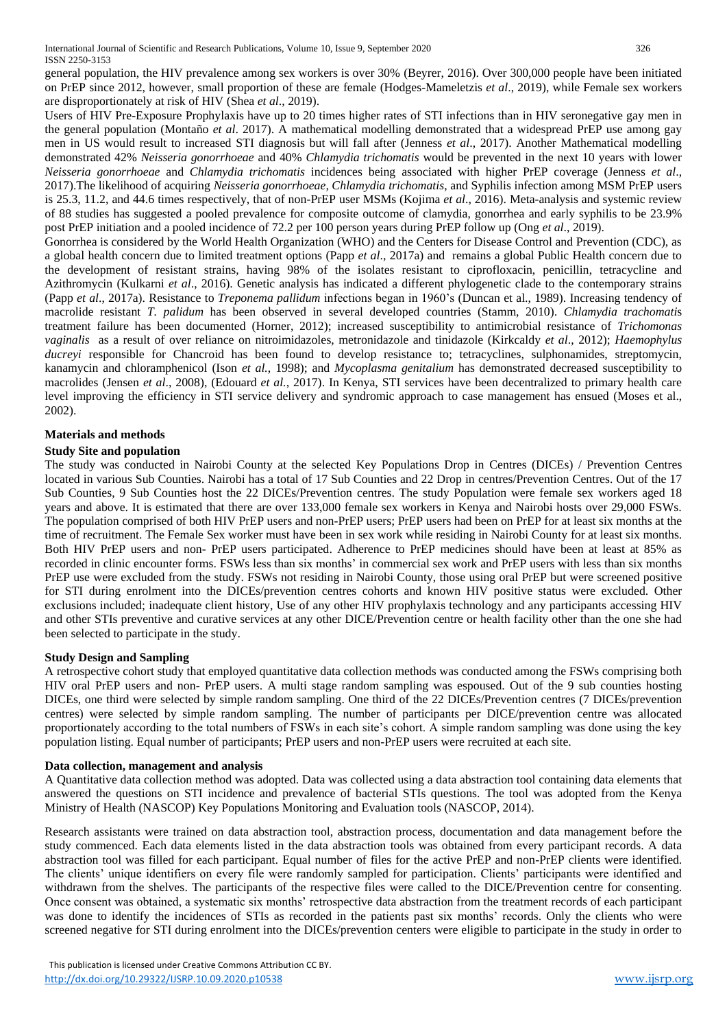general population, the HIV prevalence among sex workers is over 30% (Beyrer, 2016). Over 300,000 people have been initiated on PrEP since 2012, however, small proportion of these are female (Hodges-Mameletzis *et al*., 2019), while Female sex workers are disproportionately at risk of HIV (Shea *et al*., 2019).

Users of HIV Pre-Exposure Prophylaxis have up to 20 times higher rates of STI infections than in HIV seronegative gay men in the general population (Montaño *et al*. 2017). A mathematical modelling demonstrated that a widespread PrEP use among gay men in US would result to increased STI diagnosis but will fall after (Jenness *et al*., 2017). Another Mathematical modelling demonstrated 42% *Neisseria gonorrhoeae* and 40% *Chlamydia trichomatis* would be prevented in the next 10 years with lower *Neisseria gonorrhoeae* and *Chlamydia trichomatis* incidences being associated with higher PrEP coverage (Jenness *et al*., 2017).The likelihood of acquiring *Neisseria gonorrhoeae, Chlamydia trichomatis*, and Syphilis infection among MSM PrEP users is 25.3, 11.2, and 44.6 times respectively, that of non-PrEP user MSMs (Kojima *et al*., 2016). Meta-analysis and systemic review of 88 studies has suggested a pooled prevalence for composite outcome of clamydia, gonorrhea and early syphilis to be 23.9% post PrEP initiation and a pooled incidence of 72.2 per 100 person years during PrEP follow up (Ong *et al*., 2019).

Gonorrhea is considered by the World Health Organization (WHO) and the Centers for Disease Control and Prevention (CDC), as a global health concern due to limited treatment options (Papp *et al*., 2017a) and remains a global Public Health concern due to the development of resistant strains, having 98% of the isolates resistant to ciprofloxacin, penicillin, tetracycline and Azithromycin (Kulkarni *et al*., 2016). Genetic analysis has indicated a different phylogenetic clade to the contemporary strains (Papp *et al*., 2017a). Resistance to *Treponema pallidum* infections began in 1960's (Duncan et al., 1989). Increasing tendency of macrolide resistant *T. palidum* has been observed in several developed countries (Stamm, 2010). *Chlamydia trachomati*s treatment failure has been documented (Horner, 2012); increased susceptibility to antimicrobial resistance of *Trichomonas vaginalis* as a result of over reliance on nitroimidazoles, metronidazole and tinidazole (Kirkcaldy *et al*., 2012); *Haemophylus ducreyi* responsible for Chancroid has been found to develop resistance to; tetracyclines, sulphonamides, streptomycin, kanamycin and chloramphenicol (Ison *et al.*, 1998); and *Mycoplasma genitalium* has demonstrated decreased susceptibility to macrolides (Jensen *et al*., 2008), (Edouard *et al.*, 2017). In Kenya, STI services have been decentralized to primary health care level improving the efficiency in STI service delivery and syndromic approach to case management has ensued (Moses et al., 2002).

# **Materials and methods**

## **Study Site and population**

The study was conducted in Nairobi County at the selected Key Populations Drop in Centres (DICEs) / Prevention Centres located in various Sub Counties. Nairobi has a total of 17 Sub Counties and 22 Drop in centres/Prevention Centres. Out of the 17 Sub Counties, 9 Sub Counties host the 22 DICEs/Prevention centres. The study Population were female sex workers aged 18 years and above. It is estimated that there are over 133,000 female sex workers in Kenya and Nairobi hosts over 29,000 FSWs. The population comprised of both HIV PrEP users and non-PrEP users; PrEP users had been on PrEP for at least six months at the time of recruitment. The Female Sex worker must have been in sex work while residing in Nairobi County for at least six months. Both HIV PrEP users and non- PrEP users participated. Adherence to PrEP medicines should have been at least at 85% as recorded in clinic encounter forms. FSWs less than six months' in commercial sex work and PrEP users with less than six months PrEP use were excluded from the study. FSWs not residing in Nairobi County, those using oral PrEP but were screened positive for STI during enrolment into the DICEs/prevention centres cohorts and known HIV positive status were excluded. Other exclusions included; inadequate client history, Use of any other HIV prophylaxis technology and any participants accessing HIV and other STIs preventive and curative services at any other DICE/Prevention centre or health facility other than the one she had been selected to participate in the study.

## **Study Design and Sampling**

A retrospective cohort study that employed quantitative data collection methods was conducted among the FSWs comprising both HIV oral PrEP users and non- PrEP users. A multi stage random sampling was espoused. Out of the 9 sub counties hosting DICEs, one third were selected by simple random sampling. One third of the 22 DICEs/Prevention centres (7 DICEs/prevention centres) were selected by simple random sampling. The number of participants per DICE/prevention centre was allocated proportionately according to the total numbers of FSWs in each site's cohort. A simple random sampling was done using the key population listing. Equal number of participants; PrEP users and non-PrEP users were recruited at each site.

## **Data collection, management and analysis**

A Quantitative data collection method was adopted. Data was collected using a data abstraction tool containing data elements that answered the questions on STI incidence and prevalence of bacterial STIs questions. The tool was adopted from the Kenya Ministry of Health (NASCOP) Key Populations Monitoring and Evaluation tools (NASCOP, 2014).

Research assistants were trained on data abstraction tool, abstraction process, documentation and data management before the study commenced. Each data elements listed in the data abstraction tools was obtained from every participant records. A data abstraction tool was filled for each participant. Equal number of files for the active PrEP and non-PrEP clients were identified. The clients' unique identifiers on every file were randomly sampled for participation. Clients' participants were identified and withdrawn from the shelves. The participants of the respective files were called to the DICE/Prevention centre for consenting. Once consent was obtained, a systematic six months' retrospective data abstraction from the treatment records of each participant was done to identify the incidences of STIs as recorded in the patients past six months' records. Only the clients who were screened negative for STI during enrolment into the DICEs/prevention centers were eligible to participate in the study in order to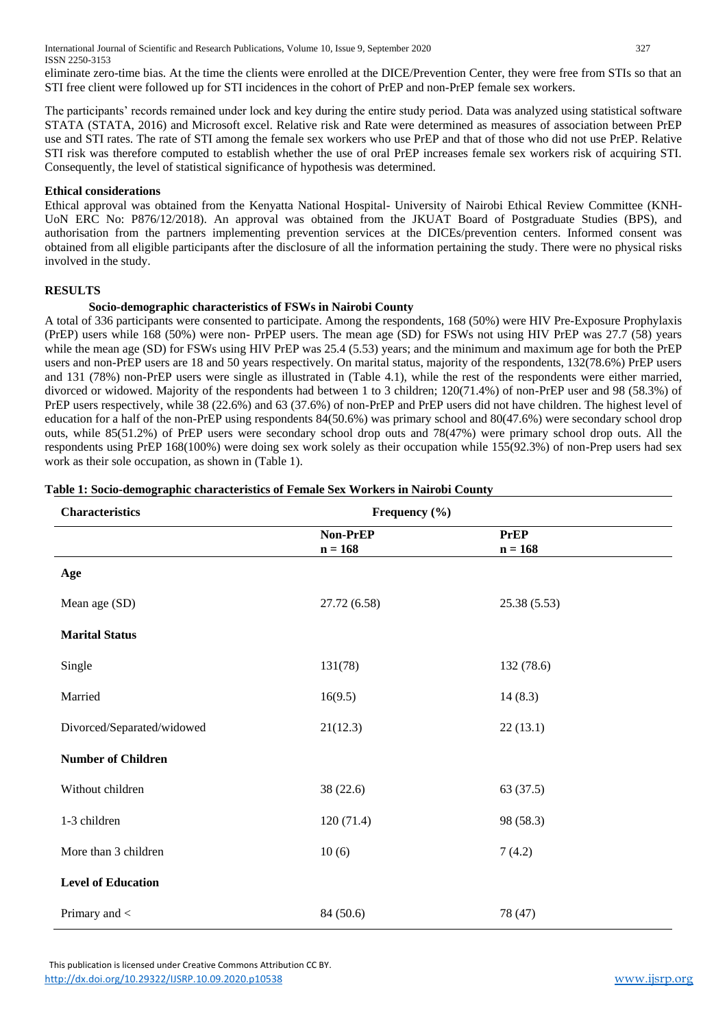International Journal of Scientific and Research Publications, Volume 10, Issue 9, September 2020 327 ISSN 2250-3153

eliminate zero-time bias. At the time the clients were enrolled at the DICE/Prevention Center, they were free from STIs so that an STI free client were followed up for STI incidences in the cohort of PrEP and non-PrEP female sex workers.

The participants' records remained under lock and key during the entire study period. Data was analyzed using statistical software STATA (STATA, 2016) and Microsoft excel. Relative risk and Rate were determined as measures of association between PrEP use and STI rates. The rate of STI among the female sex workers who use PrEP and that of those who did not use PrEP. Relative STI risk was therefore computed to establish whether the use of oral PrEP increases female sex workers risk of acquiring STI. Consequently, the level of statistical significance of hypothesis was determined.

## **Ethical considerations**

Ethical approval was obtained from the Kenyatta National Hospital- University of Nairobi Ethical Review Committee (KNH-UoN ERC No: P876/12/2018). An approval was obtained from the JKUAT Board of Postgraduate Studies (BPS), and authorisation from the partners implementing prevention services at the DICEs/prevention centers. Informed consent was obtained from all eligible participants after the disclosure of all the information pertaining the study. There were no physical risks involved in the study.

## **RESULTS**

#### **Socio-demographic characteristics of FSWs in Nairobi County**

A total of 336 participants were consented to participate. Among the respondents, 168 (50%) were HIV Pre-Exposure Prophylaxis (PrEP) users while 168 (50%) were non- PrPEP users. The mean age (SD) for FSWs not using HIV PrEP was 27.7 (58) years while the mean age (SD) for FSWs using HIV PrEP was 25.4 (5.53) years; and the minimum and maximum age for both the PrEP users and non-PrEP users are 18 and 50 years respectively. On marital status, majority of the respondents, 132(78.6%) PrEP users and 131 (78%) non-PrEP users were single as illustrated in (Table 4.1), while the rest of the respondents were either married, divorced or widowed. Majority of the respondents had between 1 to 3 children; 120(71.4%) of non-PrEP user and 98 (58.3%) of PrEP users respectively, while 38 (22.6%) and 63 (37.6%) of non-PrEP and PrEP users did not have children. The highest level of education for a half of the non-PrEP using respondents 84(50.6%) was primary school and 80(47.6%) were secondary school drop outs, while 85(51.2%) of PrEP users were secondary school drop outs and 78(47%) were primary school drop outs. All the respondents using PrEP 168(100%) were doing sex work solely as their occupation while 155(92.3%) of non-Prep users had sex work as their sole occupation, as shown in (Table 1).

| <b>Characteristics</b>     | Frequency (%)         |                          |
|----------------------------|-----------------------|--------------------------|
|                            | Non-PrEP<br>$n = 168$ | <b>PrEP</b><br>$n = 168$ |
| Age                        |                       |                          |
| Mean age (SD)              | 27.72 (6.58)          | 25.38(5.53)              |
| <b>Marital Status</b>      |                       |                          |
| Single                     | 131(78)               | 132 (78.6)               |
| Married                    | 16(9.5)               | 14(8.3)                  |
| Divorced/Separated/widowed | 21(12.3)              | 22(13.1)                 |
| <b>Number of Children</b>  |                       |                          |
| Without children           | 38 (22.6)             | 63 (37.5)                |
| 1-3 children               | 120(71.4)             | 98 (58.3)                |
| More than 3 children       | 10(6)                 | 7(4.2)                   |
| <b>Level of Education</b>  |                       |                          |
| Primary and <              | 84 (50.6)             | 78 (47)                  |

## **Table 1: Socio-demographic characteristics of Female Sex Workers in Nairobi County**

 This publication is licensed under Creative Commons Attribution CC BY. <http://dx.doi.org/10.29322/IJSRP.10.09.2020.p10538> [www.ijsrp.org](http://ijsrp.org/)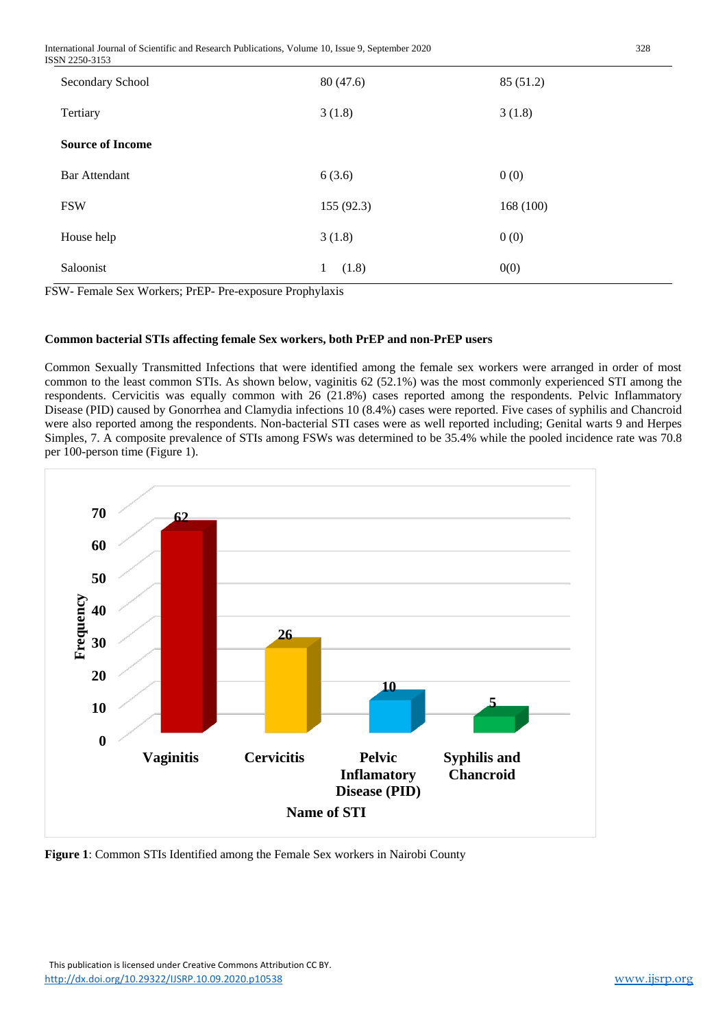International Journal of Scientific and Research Publications, Volume 10, Issue 9, September 2020 328 ISSN 2250-3153

| Secondary School        | 80 (47.6)             | 85 (51.2) |
|-------------------------|-----------------------|-----------|
| Tertiary                | 3(1.8)                | 3(1.8)    |
| <b>Source of Income</b> |                       |           |
| <b>Bar Attendant</b>    | 6(3.6)                | 0(0)      |
| <b>FSW</b>              | 155(92.3)             | 168 (100) |
| House help              | 3(1.8)                | 0(0)      |
| Saloonist               | (1.8)<br>$\mathbf{1}$ | 0(0)      |

FSW- Female Sex Workers; PrEP- Pre-exposure Prophylaxis

# **Common bacterial STIs affecting female Sex workers, both PrEP and non-PrEP users**

Common Sexually Transmitted Infections that were identified among the female sex workers were arranged in order of most common to the least common STIs. As shown below, vaginitis 62 (52.1%) was the most commonly experienced STI among the respondents. Cervicitis was equally common with 26 (21.8%) cases reported among the respondents. Pelvic Inflammatory Disease (PID) caused by Gonorrhea and Clamydia infections 10 (8.4%) cases were reported. Five cases of syphilis and Chancroid were also reported among the respondents. Non-bacterial STI cases were as well reported including; Genital warts 9 and Herpes Simples, 7. A composite prevalence of STIs among FSWs was determined to be 35.4% while the pooled incidence rate was 70.8 per 100-person time (Figure 1).



**Figure 1**: Common STIs Identified among the Female Sex workers in Nairobi County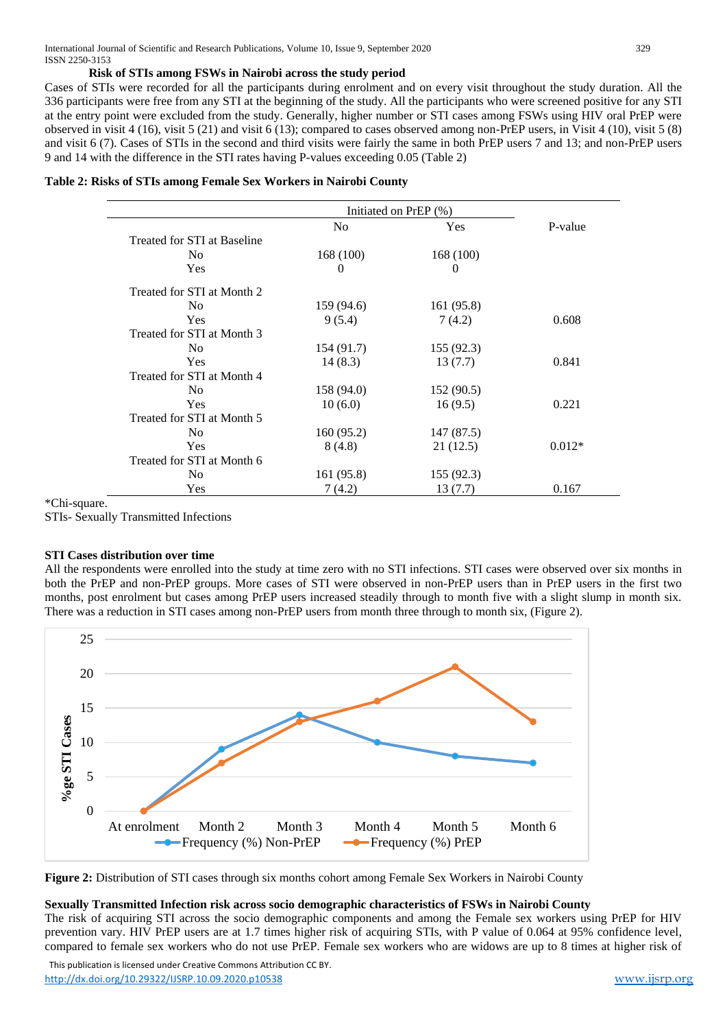## **Risk of STIs among FSWs in Nairobi across the study period**

Cases of STIs were recorded for all the participants during enrolment and on every visit throughout the study duration. All the 336 participants were free from any STI at the beginning of the study. All the participants who were screened positive for any STI at the entry point were excluded from the study. Generally, higher number or STI cases among FSWs using HIV oral PrEP were observed in visit 4 (16), visit 5 (21) and visit 6 (13); compared to cases observed among non-PrEP users, in Visit 4 (10), visit 5 (8) and visit 6 (7). Cases of STIs in the second and third visits were fairly the same in both PrEP users 7 and 13; and non-PrEP users 9 and 14 with the difference in the STI rates having P-values exceeding 0.05 (Table 2)

|                             | Initiated on PrEP (%) |            |          |
|-----------------------------|-----------------------|------------|----------|
|                             | N <sub>0</sub>        | Yes        | P-value  |
| Treated for STI at Baseline |                       |            |          |
| N <sub>0</sub>              | 168 (100)             | 168 (100)  |          |
| <b>Yes</b>                  | 0                     | 0          |          |
| Treated for STI at Month 2  |                       |            |          |
| N <sub>0</sub>              | 159 (94.6)            | 161 (95.8) |          |
| <b>Yes</b>                  | 9(5.4)                | 7(4.2)     | 0.608    |
| Treated for STI at Month 3  |                       |            |          |
| N <sub>0</sub>              | 154 (91.7)            | 155(92.3)  |          |
| <b>Yes</b>                  | 14(8.3)               | 13(7.7)    | 0.841    |
| Treated for STI at Month 4  |                       |            |          |
| N <sub>0</sub>              | 158 (94.0)            | 152(90.5)  |          |
| <b>Yes</b>                  | 10(6.0)               | 16(9.5)    | 0.221    |
| Treated for STI at Month 5  |                       |            |          |
| N <sub>0</sub>              | 160 (95.2)            | 147 (87.5) |          |
| Yes                         | 8(4.8)                | 21(12.5)   | $0.012*$ |
| Treated for STI at Month 6  |                       |            |          |
| N <sub>0</sub>              | 161 (95.8)            | 155 (92.3) |          |
| Yes                         | 7(4.2)                | 13 (7.7)   | 0.167    |

\*Chi-square.

STIs- Sexually Transmitted Infections

## **STI Cases distribution over time**

All the respondents were enrolled into the study at time zero with no STI infections. STI cases were observed over six months in both the PrEP and non-PrEP groups. More cases of STI were observed in non-PrEP users than in PrEP users in the first two months, post enrolment but cases among PrEP users increased steadily through to month five with a slight slump in month six. There was a reduction in STI cases among non-PrEP users from month three through to month six, (Figure 2).



**Figure 2:** Distribution of STI cases through six months cohort among Female Sex Workers in Nairobi County

#### **Sexually Transmitted Infection risk across socio demographic characteristics of FSWs in Nairobi County**

The risk of acquiring STI across the socio demographic components and among the Female sex workers using PrEP for HIV prevention vary. HIV PrEP users are at 1.7 times higher risk of acquiring STIs, with P value of 0.064 at 95% confidence level, compared to female sex workers who do not use PrEP. Female sex workers who are widows are up to 8 times at higher risk of

 This publication is licensed under Creative Commons Attribution CC BY. <http://dx.doi.org/10.29322/IJSRP.10.09.2020.p10538> [www.ijsrp.org](http://ijsrp.org/)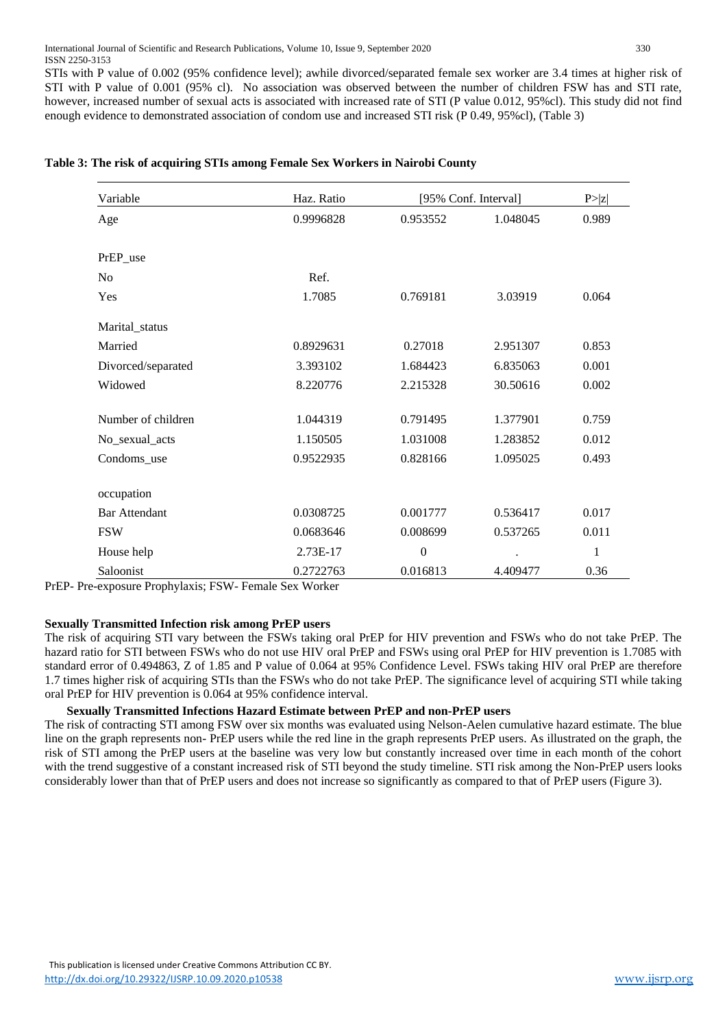STIs with P value of 0.002 (95% confidence level); awhile divorced/separated female sex worker are 3.4 times at higher risk of STI with P value of 0.001 (95% cl). No association was observed between the number of children FSW has and STI rate, however, increased number of sexual acts is associated with increased rate of STI (P value 0.012, 95%cl). This study did not find enough evidence to demonstrated association of condom use and increased STI risk (P 0.49, 95%cl), (Table 3)

| Variable<br>Age      | Haz. Ratio |                | [95% Conf. Interval] |       |
|----------------------|------------|----------------|----------------------|-------|
|                      | 0.9996828  | 0.953552       | 1.048045             | 0.989 |
| PrEP use             |            |                |                      |       |
| N <sub>0</sub>       | Ref.       |                |                      |       |
| Yes                  | 1.7085     | 0.769181       | 3.03919              | 0.064 |
| Marital_status       |            |                |                      |       |
| Married              | 0.8929631  | 0.27018        | 2.951307             | 0.853 |
| Divorced/separated   | 3.393102   | 1.684423       | 6.835063             | 0.001 |
| Widowed              | 8.220776   | 2.215328       | 30.50616             | 0.002 |
| Number of children   | 1.044319   | 0.791495       | 1.377901             | 0.759 |
| No_sexual_acts       | 1.150505   | 1.031008       | 1.283852             | 0.012 |
| Condoms_use          | 0.9522935  | 0.828166       | 1.095025             | 0.493 |
| occupation           |            |                |                      |       |
| <b>Bar Attendant</b> | 0.0308725  | 0.001777       | 0.536417             | 0.017 |
| <b>FSW</b>           | 0.0683646  | 0.008699       | 0.537265             | 0.011 |
| House help           | 2.73E-17   | $\overline{0}$ |                      | 1     |
| Saloonist            | 0.2722763  | 0.016813       | 4.409477             | 0.36  |

# **Table 3: The risk of acquiring STIs among Female Sex Workers in Nairobi County**

PrEP- Pre-exposure Prophylaxis; FSW- Female Sex Worker

# **Sexually Transmitted Infection risk among PrEP users**

The risk of acquiring STI vary between the FSWs taking oral PrEP for HIV prevention and FSWs who do not take PrEP. The hazard ratio for STI between FSWs who do not use HIV oral PrEP and FSWs using oral PrEP for HIV prevention is 1.7085 with standard error of 0.494863, Z of 1.85 and P value of 0.064 at 95% Confidence Level. FSWs taking HIV oral PrEP are therefore 1.7 times higher risk of acquiring STIs than the FSWs who do not take PrEP. The significance level of acquiring STI while taking oral PrEP for HIV prevention is 0.064 at 95% confidence interval.

# **Sexually Transmitted Infections Hazard Estimate between PrEP and non-PrEP users**

The risk of contracting STI among FSW over six months was evaluated using Nelson-Aelen cumulative hazard estimate. The blue line on the graph represents non- PrEP users while the red line in the graph represents PrEP users. As illustrated on the graph, the risk of STI among the PrEP users at the baseline was very low but constantly increased over time in each month of the cohort with the trend suggestive of a constant increased risk of STI beyond the study timeline. STI risk among the Non-PrEP users looks considerably lower than that of PrEP users and does not increase so significantly as compared to that of PrEP users (Figure 3).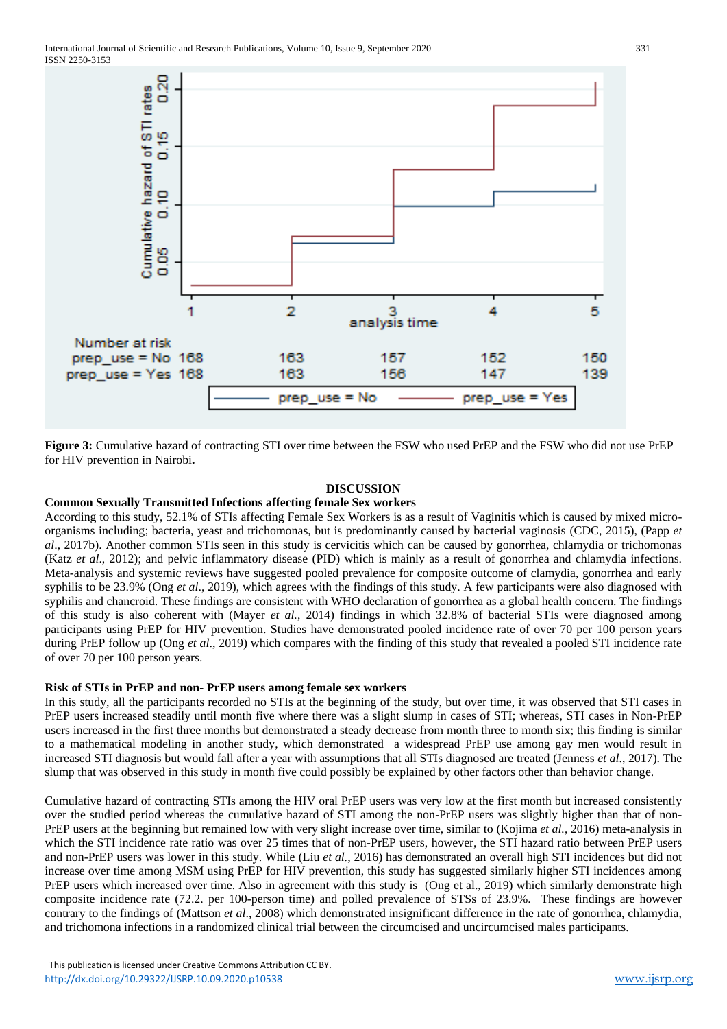

**Figure 3:** Cumulative hazard of contracting STI over time between the FSW who used PrEP and the FSW who did not use PrEP for HIV prevention in Nairobi**.**

#### **DISCUSSION**

#### **Common Sexually Transmitted Infections affecting female Sex workers**

According to this study, 52.1% of STIs affecting Female Sex Workers is as a result of Vaginitis which is caused by mixed microorganisms including; bacteria, yeast and trichomonas, but is predominantly caused by bacterial vaginosis (CDC, 2015), (Papp *et al*., 2017b). Another common STIs seen in this study is cervicitis which can be caused by gonorrhea, chlamydia or trichomonas (Katz *et al*., 2012); and pelvic inflammatory disease (PID) which is mainly as a result of gonorrhea and chlamydia infections. Meta-analysis and systemic reviews have suggested pooled prevalence for composite outcome of clamydia, gonorrhea and early syphilis to be 23.9% (Ong *et al*., 2019), which agrees with the findings of this study. A few participants were also diagnosed with syphilis and chancroid. These findings are consistent with WHO declaration of gonorrhea as a global health concern. The findings of this study is also coherent with (Mayer *et al.*, 2014) findings in which 32.8% of bacterial STIs were diagnosed among participants using PrEP for HIV prevention. Studies have demonstrated pooled incidence rate of over 70 per 100 person years during PrEP follow up (Ong *et al*., 2019) which compares with the finding of this study that revealed a pooled STI incidence rate of over 70 per 100 person years.

## **Risk of STIs in PrEP and non- PrEP users among female sex workers**

In this study, all the participants recorded no STIs at the beginning of the study, but over time, it was observed that STI cases in PrEP users increased steadily until month five where there was a slight slump in cases of STI; whereas, STI cases in Non-PrEP users increased in the first three months but demonstrated a steady decrease from month three to month six; this finding is similar to a mathematical modeling in another study, which demonstrated a widespread PrEP use among gay men would result in increased STI diagnosis but would fall after a year with assumptions that all STIs diagnosed are treated (Jenness *et al*., 2017). The slump that was observed in this study in month five could possibly be explained by other factors other than behavior change.

Cumulative hazard of contracting STIs among the HIV oral PrEP users was very low at the first month but increased consistently over the studied period whereas the cumulative hazard of STI among the non-PrEP users was slightly higher than that of non-PrEP users at the beginning but remained low with very slight increase over time, similar to (Kojima *et al.*, 2016) meta-analysis in which the STI incidence rate ratio was over 25 times that of non-PrEP users, however, the STI hazard ratio between PrEP users and non-PrEP users was lower in this study. While (Liu *et al.*, 2016) has demonstrated an overall high STI incidences but did not increase over time among MSM using PrEP for HIV prevention, this study has suggested similarly higher STI incidences among PrEP users which increased over time. Also in agreement with this study is (Ong et al., 2019) which similarly demonstrate high composite incidence rate (72.2. per 100-person time) and polled prevalence of STSs of 23.9%. These findings are however contrary to the findings of (Mattson *et al*., 2008) which demonstrated insignificant difference in the rate of gonorrhea, chlamydia, and trichomona infections in a randomized clinical trial between the circumcised and uncircumcised males participants.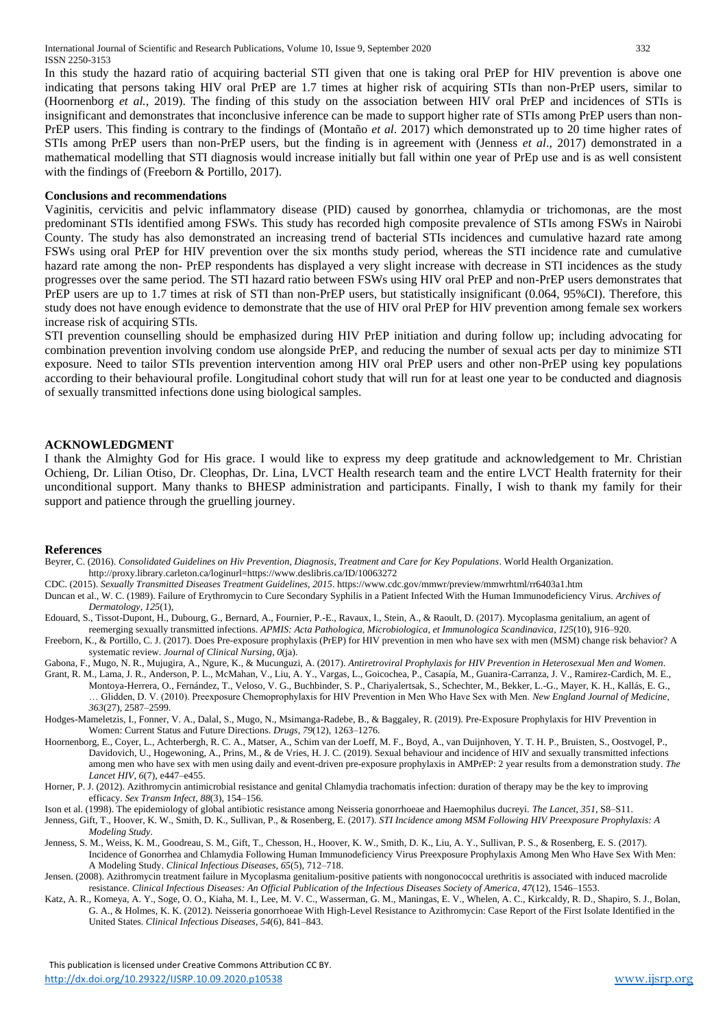In this study the hazard ratio of acquiring bacterial STI given that one is taking oral PrEP for HIV prevention is above one indicating that persons taking HIV oral PrEP are 1.7 times at higher risk of acquiring STIs than non-PrEP users, similar to (Hoornenborg *et al.*, 2019). The finding of this study on the association between HIV oral PrEP and incidences of STIs is insignificant and demonstrates that inconclusive inference can be made to support higher rate of STIs among PrEP users than non-PrEP users. This finding is contrary to the findings of (Montaño *et al*. 2017) which demonstrated up to 20 time higher rates of STIs among PrEP users than non-PrEP users, but the finding is in agreement with (Jenness *et al*., 2017) demonstrated in a mathematical modelling that STI diagnosis would increase initially but fall within one year of PrEp use and is as well consistent with the findings of (Freeborn & Portillo, 2017).

#### **Conclusions and recommendations**

Vaginitis, cervicitis and pelvic inflammatory disease (PID) caused by gonorrhea, chlamydia or trichomonas, are the most predominant STIs identified among FSWs. This study has recorded high composite prevalence of STIs among FSWs in Nairobi County. The study has also demonstrated an increasing trend of bacterial STIs incidences and cumulative hazard rate among FSWs using oral PrEP for HIV prevention over the six months study period, whereas the STI incidence rate and cumulative hazard rate among the non- PrEP respondents has displayed a very slight increase with decrease in STI incidences as the study progresses over the same period. The STI hazard ratio between FSWs using HIV oral PrEP and non-PrEP users demonstrates that PrEP users are up to 1.7 times at risk of STI than non-PrEP users, but statistically insignificant (0.064, 95%CI). Therefore, this study does not have enough evidence to demonstrate that the use of HIV oral PrEP for HIV prevention among female sex workers increase risk of acquiring STIs.

STI prevention counselling should be emphasized during HIV PrEP initiation and during follow up; including advocating for combination prevention involving condom use alongside PrEP, and reducing the number of sexual acts per day to minimize STI exposure. Need to tailor STIs prevention intervention among HIV oral PrEP users and other non-PrEP using key populations according to their behavioural profile. Longitudinal cohort study that will run for at least one year to be conducted and diagnosis of sexually transmitted infections done using biological samples.

#### **ACKNOWLEDGMENT**

I thank the Almighty God for His grace. I would like to express my deep gratitude and acknowledgement to Mr. Christian Ochieng, Dr. Lilian Otiso, Dr. Cleophas, Dr. Lina, LVCT Health research team and the entire LVCT Health fraternity for their unconditional support. Many thanks to BHESP administration and participants. Finally, I wish to thank my family for their support and patience through the gruelling journey.

#### **References**

- Beyrer, C. (2016). *Consolidated Guidelines on Hiv Prevention, Diagnosis, Treatment and Care for Key Populations*. World Health Organization. http://proxy.library.carleton.ca/loginurl=https://www.deslibris.ca/ID/10063272
- CDC. (2015). *Sexually Transmitted Diseases Treatment Guidelines, 2015*. https://www.cdc.gov/mmwr/preview/mmwrhtml/rr6403a1.htm
- Duncan et al., W. C. (1989). Failure of Erythromycin to Cure Secondary Syphilis in a Patient Infected With the Human Immunodeficiency Virus. *Archives of Dermatology*, *125*(1),
- Edouard, S., Tissot-Dupont, H., Dubourg, G., Bernard, A., Fournier, P.-E., Ravaux, I., Stein, A., & Raoult, D. (2017). Mycoplasma genitalium, an agent of reemerging sexually transmitted infections. *APMIS: Acta Pathologica, Microbiologica, et Immunologica Scandinavica*, *125*(10), 916–920.
- Freeborn, K., & Portillo, C. J. (2017). Does Pre-exposure prophylaxis (PrEP) for HIV prevention in men who have sex with men (MSM) change risk behavior? A systematic review. *Journal of Clinical Nursing*, *0*(ja).
- Gabona, F., Mugo, N. R., Mujugira, A., Ngure, K., & Mucunguzi, A. (2017). *Antiretroviral Prophylaxis for HIV Prevention in Heterosexual Men and Women*. Grant, R. M., Lama, J. R., Anderson, P. L., McMahan, V., Liu, A. Y., Vargas, L., Goicochea, P., Casapía, M., Guanira-Carranza, J. V., Ramirez-Cardich, M. E.,
- Montoya-Herrera, O., Fernández, T., Veloso, V. G., Buchbinder, S. P., Chariyalertsak, S., Schechter, M., Bekker, L.-G., Mayer, K. H., Kallás, E. G., … Glidden, D. V. (2010). Preexposure Chemoprophylaxis for HIV Prevention in Men Who Have Sex with Men. *New England Journal of Medicine*, *363*(27), 2587–2599.
- Hodges-Mameletzis, I., Fonner, V. A., Dalal, S., Mugo, N., Msimanga-Radebe, B., & Baggaley, R. (2019). Pre-Exposure Prophylaxis for HIV Prevention in Women: Current Status and Future Directions. *Drugs*, *79*(12), 1263–1276.
- Hoornenborg, E., Coyer, L., Achterbergh, R. C. A., Matser, A., Schim van der Loeff, M. F., Boyd, A., van Duijnhoven, Y. T. H. P., Bruisten, S., Oostvogel, P., Davidovich, U., Hogewoning, A., Prins, M., & de Vries, H. J. C. (2019). Sexual behaviour and incidence of HIV and sexually transmitted infections among men who have sex with men using daily and event-driven pre-exposure prophylaxis in AMPrEP: 2 year results from a demonstration study. *The Lancet HIV*, *6*(7), e447–e455.
- Horner, P. J. (2012). Azithromycin antimicrobial resistance and genital Chlamydia trachomatis infection: duration of therapy may be the key to improving efficacy. *Sex Transm Infect*, *88*(3), 154–156.
- Ison et al. (1998). The epidemiology of global antibiotic resistance among Neisseria gonorrhoeae and Haemophilus ducreyi. *The Lancet*, *351*, S8–S11.
- Jenness, Gift, T., Hoover, K. W., Smith, D. K., Sullivan, P., & Rosenberg, E. (2017). *STI Incidence among MSM Following HIV Preexposure Prophylaxis: A Modeling Study*.
- Jenness, S. M., Weiss, K. M., Goodreau, S. M., Gift, T., Chesson, H., Hoover, K. W., Smith, D. K., Liu, A. Y., Sullivan, P. S., & Rosenberg, E. S. (2017). Incidence of Gonorrhea and Chlamydia Following Human Immunodeficiency Virus Preexposure Prophylaxis Among Men Who Have Sex With Men: A Modeling Study. *Clinical Infectious Diseases*, *65*(5), 712–718.
- Jensen. (2008). Azithromycin treatment failure in Mycoplasma genitalium-positive patients with nongonococcal urethritis is associated with induced macrolide resistance. *Clinical Infectious Diseases: An Official Publication of the Infectious Diseases Society of America*, *47*(12), 1546–1553.
- Katz, A. R., Komeya, A. Y., Soge, O. O., Kiaha, M. I., Lee, M. V. C., Wasserman, G. M., Maningas, E. V., Whelen, A. C., Kirkcaldy, R. D., Shapiro, S. J., Bolan, G. A., & Holmes, K. K. (2012). Neisseria gonorrhoeae With High-Level Resistance to Azithromycin: Case Report of the First Isolate Identified in the United States. *Clinical Infectious Diseases*, *54*(6), 841–843.